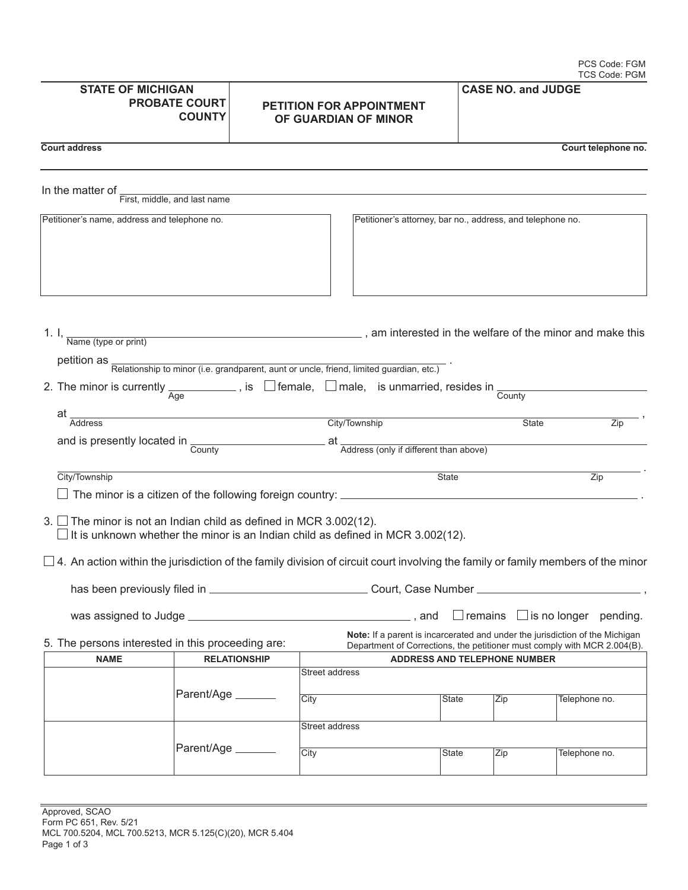| <b>STATE OF MICHIGAN</b><br><b>PROBATE COURT</b><br><b>COUNTY</b>         |                    | <b>PETITION FOR APPOINTMENT</b><br>OF GUARDIAN OF MINOR |                                                                                                                                                          | <b>CASE NO. and JUDGE</b> |              |                                               |
|---------------------------------------------------------------------------|--------------------|---------------------------------------------------------|----------------------------------------------------------------------------------------------------------------------------------------------------------|---------------------------|--------------|-----------------------------------------------|
| <b>Court address</b>                                                      |                    |                                                         |                                                                                                                                                          |                           |              | Court telephone no.                           |
| In the matter of _<br>First, middle, and last name                        |                    |                                                         |                                                                                                                                                          |                           |              |                                               |
| Petitioner's name, address and telephone no.                              |                    |                                                         | Petitioner's attorney, bar no., address, and telephone no.                                                                                               |                           |              |                                               |
|                                                                           |                    |                                                         | 1. I, $\frac{1}{\text{Name (type or print)}}$ am interested in the welfare of the minor and make this                                                    |                           |              |                                               |
|                                                                           |                    |                                                         | petition as <b>Relationship to minor (i.e. grandparent</b> , aunt or uncle, friend, limited guardian, etc.)                                              |                           |              |                                               |
|                                                                           |                    |                                                         | 2. The minor is currently $\frac{1}{\text{Age}}$ , is $\Box$ female, $\Box$ male, is unmarried, resides in $\frac{1}{\text{Country}}$                    |                           |              |                                               |
| at _<br><b>Address</b>                                                    |                    |                                                         | City/Township                                                                                                                                            |                           | <b>State</b> | Zip                                           |
| and is presently located in $\frac{1}{\text{Country}}$                    |                    |                                                         |                                                                                                                                                          |                           |              |                                               |
|                                                                           |                    |                                                         | at Address (only if different than above)                                                                                                                |                           |              |                                               |
| City/Township                                                             |                    |                                                         | <b>State</b>                                                                                                                                             |                           |              | Zip                                           |
|                                                                           |                    |                                                         |                                                                                                                                                          |                           |              |                                               |
| 3. $\Box$ The minor is not an Indian child as defined in MCR 3.002(12).   |                    |                                                         | $\Box$ It is unknown whether the minor is an Indian child as defined in MCR 3.002(12).                                                                   |                           |              |                                               |
|                                                                           |                    |                                                         |                                                                                                                                                          |                           |              |                                               |
| has been previously filed in __                                           |                    |                                                         | Court, Case Number _                                                                                                                                     |                           |              |                                               |
|                                                                           |                    |                                                         |                                                                                                                                                          |                           |              | $\perp$ remains $\perp$ is no longer pending. |
| 5. The persons interested in this proceeding are:                         |                    |                                                         | Note: If a parent is incarcerated and under the jurisdiction of the Michigan<br>Department of Corrections, the petitioner must comply with MCR 2.004(B). |                           |              |                                               |
| <b>NAME</b><br><b>RELATIONSHIP</b><br><b>ADDRESS AND TELEPHONE NUMBER</b> |                    |                                                         |                                                                                                                                                          |                           |              |                                               |
|                                                                           |                    |                                                         | Street address                                                                                                                                           |                           |              |                                               |
|                                                                           | Parent/Age _______ |                                                         | City                                                                                                                                                     | State                     | Zip          | Telephone no.                                 |
|                                                                           |                    |                                                         | Street address                                                                                                                                           |                           |              |                                               |
|                                                                           | Parent/Age _______ |                                                         | City                                                                                                                                                     | State                     | Zip          | Telephone no.                                 |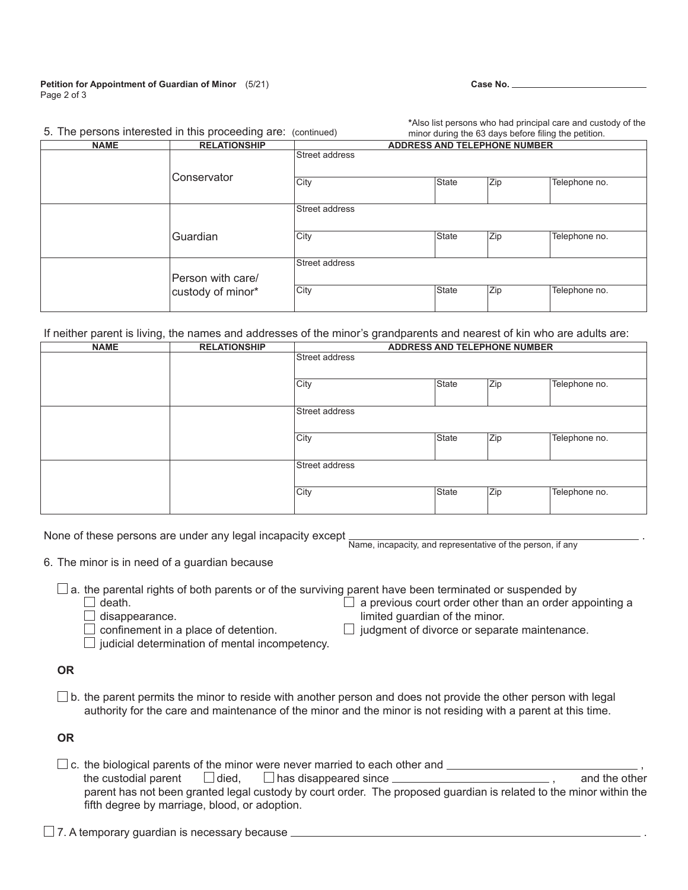## **Petition for Appointment of Guardian of Minor** (5/21) Page 2 of 3

| w. | м<br>۰, |
|----|---------|
|----|---------|

**\***Also list persons who had principal care and custody of the

|             | 5. The persons interested in this proceeding are: (continued) | minor during the 63 days before filing the petition. |                                     |     |               |  |
|-------------|---------------------------------------------------------------|------------------------------------------------------|-------------------------------------|-----|---------------|--|
| <b>NAME</b> | <b>RELATIONSHIP</b>                                           |                                                      | <b>ADDRESS AND TELEPHONE NUMBER</b> |     |               |  |
|             |                                                               | Street address                                       |                                     |     |               |  |
|             | Conservator                                                   | City                                                 | State                               | Zip | Telephone no. |  |
|             |                                                               | Street address                                       |                                     |     |               |  |
|             | Guardian                                                      | City                                                 | State                               | Zip | Telephone no. |  |
|             | Person with care/                                             | Street address                                       |                                     |     |               |  |
|             | custody of minor*                                             | City                                                 | <b>State</b>                        | Zip | Telephone no. |  |

If neither parent is living, the names and addresses of the minor's grandparents and nearest of kin who are adults are:

| <b>NAME</b> | <b>RELATIONSHIP</b> | <b>ADDRESS AND TELEPHONE NUMBER</b> |              |     |               |
|-------------|---------------------|-------------------------------------|--------------|-----|---------------|
|             |                     | Street address                      |              |     |               |
|             |                     | City                                | <b>State</b> | Zip | Telephone no. |
|             |                     | Street address                      |              |     |               |
|             |                     | City                                | <b>State</b> | Zip | Telephone no. |
|             |                     | Street address                      |              |     |               |
|             |                     | City                                | <b>State</b> | Zip | Telephone no. |

None of these persons are under any legal incapacity except

Name, incapacity, and representative of the person, if any

.

- 6. The minor is in need of a guardian because
	- $\square$  a. the parental rights of both parents or of the surviving parent have been terminated or suspended by  $\square$  death.  $\Box$  death. death.  $\Box$  death.  $\Box$  a previous court order other than an order appointing a disappearance.
		-

| a previous court order other than $\imath$                        |  |  |  |
|-------------------------------------------------------------------|--|--|--|
| Providence of the common official control of the common formation |  |  |  |

 $\Box$  disappearance.<br>  $\Box$  confinement in a place of detention.  $\Box$  judgment of divorce or separa

 $\Box$  judicial determination of mental incompetency.

 $\Box$  judgment of divorce or separate maintenance.

## **OR**

 $\Box$  b. the parent permits the minor to reside with another person and does not provide the other person with legal authority for the care and maintenance of the minor and the minor is not residing with a parent at this time.

**OR**

 $\Box$  c. the biological parents of the minor were never married to each other and  $\Box$  , and the other in the custodial parent  $\Box$  died,  $\Box$  has disappeared since  $\Box$  $\Box$  has disappeared since  $\Box$  parent has not been granted legal custody by court order. The proposed guardian is related to the minor within the fifth degree by marriage, blood, or adoption.

 $\Box$  7. A temporary guardian is necessary because  $\Box$